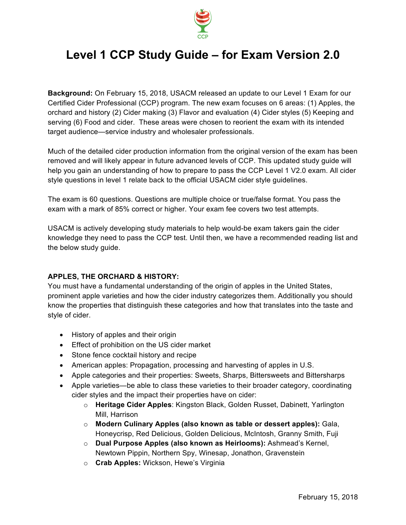

# **Level 1 CCP Study Guide – for Exam Version 2.0**

**Background:** On February 15, 2018, USACM released an update to our Level 1 Exam for our Certified Cider Professional (CCP) program. The new exam focuses on 6 areas: (1) Apples, the orchard and history (2) Cider making (3) Flavor and evaluation (4) Cider styles (5) Keeping and serving (6) Food and cider. These areas were chosen to reorient the exam with its intended target audience—service industry and wholesaler professionals.

Much of the detailed cider production information from the original version of the exam has been removed and will likely appear in future advanced levels of CCP. This updated study guide will help you gain an understanding of how to prepare to pass the CCP Level 1 V2.0 exam. All cider style questions in level 1 relate back to the official USACM cider style guidelines.

The exam is 60 questions. Questions are multiple choice or true/false format. You pass the exam with a mark of 85% correct or higher. Your exam fee covers two test attempts.

USACM is actively developing study materials to help would-be exam takers gain the cider knowledge they need to pass the CCP test. Until then, we have a recommended reading list and the below study guide.

## **APPLES, THE ORCHARD & HISTORY:**

You must have a fundamental understanding of the origin of apples in the United States, prominent apple varieties and how the cider industry categorizes them. Additionally you should know the properties that distinguish these categories and how that translates into the taste and style of cider.

- History of apples and their origin
- Effect of prohibition on the US cider market
- Stone fence cocktail history and recipe
- American apples: Propagation, processing and harvesting of apples in U.S.
- Apple categories and their properties: Sweets, Sharps, Bittersweets and Bittersharps
- Apple varieties—be able to class these varieties to their broader category, coordinating cider styles and the impact their properties have on cider:
	- o **Heritage Cider Apples**: Kingston Black, Golden Russet, Dabinett, Yarlington Mill, Harrison
	- o **Modern Culinary Apples (also known as table or dessert apples):** Gala, Honeycrisp, Red Delicious, Golden Delicious, McIntosh, Granny Smith, Fuji
	- o **Dual Purpose Apples (also known as Heirlooms):** Ashmead's Kernel, Newtown Pippin, Northern Spy, Winesap, Jonathon, Gravenstein
	- o **Crab Apples:** Wickson, Hewe's Virginia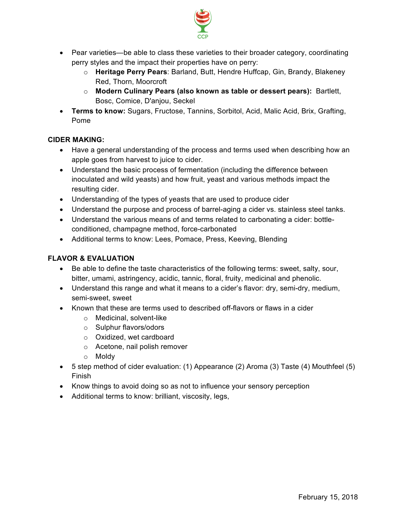

- Pear varieties—be able to class these varieties to their broader category, coordinating perry styles and the impact their properties have on perry:
	- o **Heritage Perry Pears**: Barland, Butt, Hendre Huffcap, Gin, Brandy, Blakeney Red, Thorn, Moorcroft
	- o **Modern Culinary Pears (also known as table or dessert pears):** Bartlett, Bosc, Comice, D'anjou, Seckel
- **Terms to know:** Sugars, Fructose, Tannins, Sorbitol, Acid, Malic Acid, Brix, Grafting, Pome

# **CIDER MAKING:**

- Have a general understanding of the process and terms used when describing how an apple goes from harvest to juice to cider.
- Understand the basic process of fermentation (including the difference between inoculated and wild yeasts) and how fruit, yeast and various methods impact the resulting cider.
- Understanding of the types of yeasts that are used to produce cider
- Understand the purpose and process of barrel-aging a cider vs. stainless steel tanks.
- Understand the various means of and terms related to carbonating a cider: bottleconditioned, champagne method, force-carbonated
- Additional terms to know: Lees, Pomace, Press, Keeving, Blending

## **FLAVOR & EVALUATION**

- Be able to define the taste characteristics of the following terms: sweet, salty, sour, bitter, umami, astringency, acidic, tannic, floral, fruity, medicinal and phenolic.
- Understand this range and what it means to a cider's flavor: dry, semi-dry, medium, semi-sweet, sweet
- Known that these are terms used to described off-flavors or flaws in a cider
	- o Medicinal, solvent-like
	- o Sulphur flavors/odors
	- o Oxidized, wet cardboard
	- o Acetone, nail polish remover
	- o Moldy
- 5 step method of cider evaluation: (1) Appearance (2) Aroma (3) Taste (4) Mouthfeel (5) Finish
- Know things to avoid doing so as not to influence your sensory perception
- Additional terms to know: brilliant, viscosity, legs,